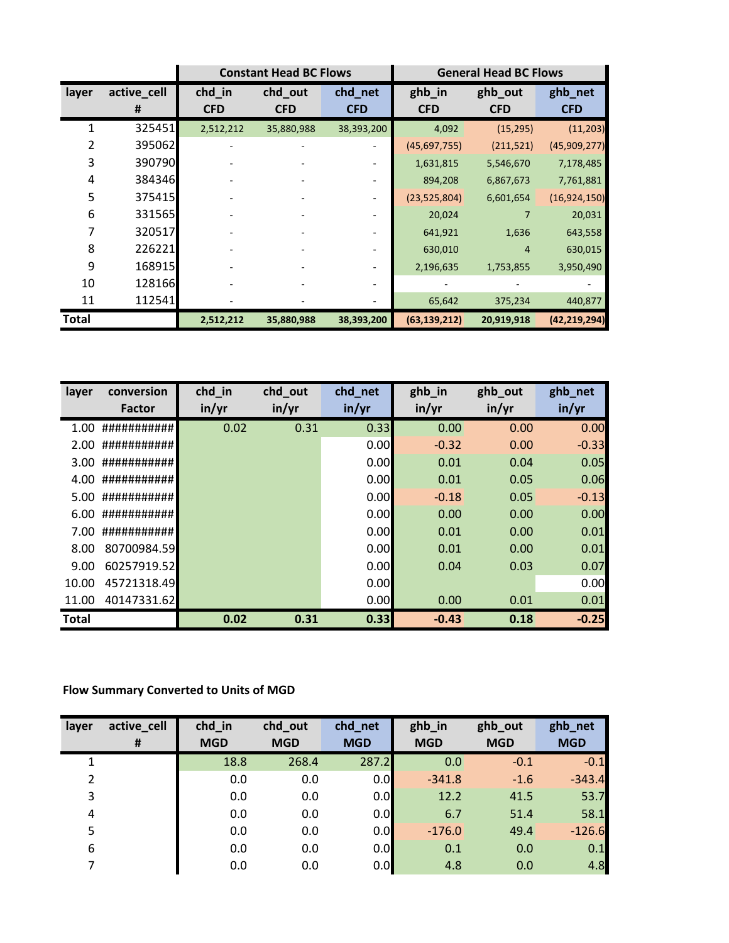|              |                  |                      | <b>Constant Head BC Flows</b> |                       | <b>General Head BC Flows</b> |                       |                       |  |
|--------------|------------------|----------------------|-------------------------------|-----------------------|------------------------------|-----------------------|-----------------------|--|
| layer        | active_cell<br>Ħ | chd_in<br><b>CFD</b> | chd_out<br><b>CFD</b>         | chd_net<br><b>CFD</b> | ghb_in<br><b>CFD</b>         | ghb_out<br><b>CFD</b> | ghb_net<br><b>CFD</b> |  |
|              | 325451           | 2,512,212            | 35,880,988                    | 38,393,200            | 4,092                        | (15, 295)             | (11,203)              |  |
| 2            | 395062           |                      |                               |                       | (45,697,755)                 | (211, 521)            | (45,909,277)          |  |
| 3            | 390790           |                      |                               |                       | 1,631,815                    | 5,546,670             | 7,178,485             |  |
| 4            | 384346           |                      |                               |                       | 894,208                      | 6,867,673             | 7,761,881             |  |
| 5            | 375415           |                      |                               |                       | (23,525,804)                 | 6,601,654             | (16, 924, 150)        |  |
| 6            | 331565           |                      |                               |                       | 20,024                       |                       | 20,031                |  |
| 7            | 320517           |                      |                               |                       | 641,921                      | 1,636                 | 643,558               |  |
| 8            | 226221           |                      |                               |                       | 630,010                      | 4                     | 630,015               |  |
| 9            | 168915           |                      |                               |                       | 2,196,635                    | 1,753,855             | 3,950,490             |  |
| 10           | 128166           |                      |                               |                       |                              |                       |                       |  |
| 11           | 112541           |                      |                               |                       | 65,642                       | 375,234               | 440,877               |  |
| <b>Total</b> |                  | 2,512,212            | 35,880,988                    | 38,393,200            | (63, 139, 212)               | 20,919,918            | (42, 219, 294)        |  |

| layer        | conversion<br>Factor | chd_in<br>in/yr | chd_out<br>in/yr | chd_net<br>in/yr | ghb_in<br>in/yr | ghb_out<br>in/yr | ghb_net<br>in/yr |
|--------------|----------------------|-----------------|------------------|------------------|-----------------|------------------|------------------|
|              |                      |                 |                  |                  |                 |                  |                  |
| 1.00         | ###########          | 0.02            | 0.31             | 0.33             | 0.00            | 0.00             | 0.00             |
| 2.00         | ###########          |                 |                  | 0.00             | $-0.32$         | 0.00             | $-0.33$          |
| 3.00         | ###########          |                 |                  | 0.00             | 0.01            | 0.04             | 0.05             |
| 4.00         | ###########          |                 |                  | 0.00             | 0.01            | 0.05             | 0.06             |
| 5.00         | ###########          |                 |                  | 0.00             | $-0.18$         | 0.05             | $-0.13$          |
| 6.00         | ###########          |                 |                  | 0.00             | 0.00            | 0.00             | 0.00             |
| 7.00         | ###########          |                 |                  | 0.00             | 0.01            | 0.00             | 0.01             |
| 8.00         | 80700984.59          |                 |                  | 0.00             | 0.01            | 0.00             | 0.01             |
| 9.00         | 60257919.52          |                 |                  | 0.00             | 0.04            | 0.03             | 0.07             |
| 10.00        | 45721318.49          |                 |                  | 0.00             |                 |                  | 0.00             |
| 11.00        | 40147331.62          |                 |                  | 0.00             | 0.00            | 0.01             | 0.01             |
| <b>Total</b> |                      | 0.02            | 0.31             | 0.33             | $-0.43$         | 0.18             | $-0.25$          |

## **Flow Summary Converted to Units of MGD**

| layer | active_cell | chd in     | chd_out    | chd_net    | ghb_in     | ghb_out    | ghb_net    |
|-------|-------------|------------|------------|------------|------------|------------|------------|
|       | Ħ           | <b>MGD</b> | <b>MGD</b> | <b>MGD</b> | <b>MGD</b> | <b>MGD</b> | <b>MGD</b> |
|       |             | 18.8       | 268.4      | 287.2      | 0.0        | $-0.1$     | $-0.1$     |
| 2     |             | 0.0        | 0.0        | 0.0        | $-341.8$   | $-1.6$     | $-343.4$   |
| 3     |             | 0.0        | 0.0        | 0.0        | 12.2       | 41.5       | 53.7       |
| 4     |             | 0.0        | 0.0        | 0.0        | 6.7        | 51.4       | 58.1       |
| 5     |             | 0.0        | 0.0        | 0.0        | $-176.0$   | 49.4       | $-126.6$   |
| 6     |             | 0.0        | 0.0        | 0.0        | 0.1        | 0.0        | 0.1        |
| 7     |             | 0.0        | 0.0        | 0.0        | 4.8        | 0.0        | 4.8        |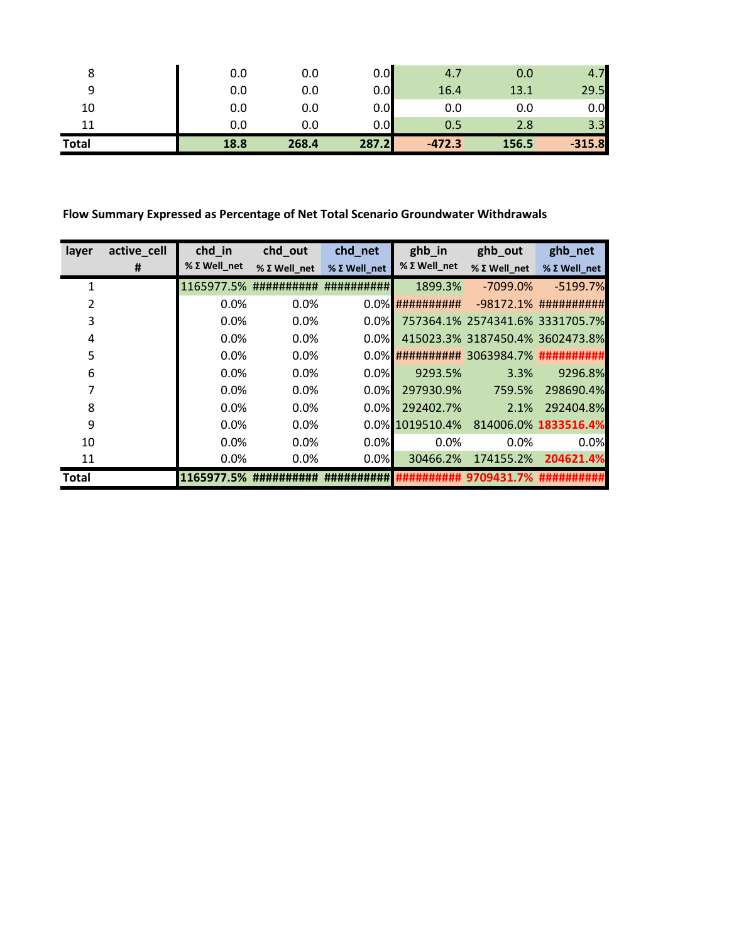|              | 0.0  | 0.0   | 0.0   | 4.7      | 0.0   | 7        |
|--------------|------|-------|-------|----------|-------|----------|
|              | 0.0  | 0.0   | 0.0   | 16.4     | 13.1  | 29.5     |
| 10           | 0.0  | 0.0   | 0.0   | 0.0      | 0.0   | 0.0      |
|              | 0.0  | 0.0   | 0.0   | 0.5      | 2.8   | 3.3      |
| <b>Total</b> | 18.8 | 268.4 | 287.2 | $-472.3$ | 156.5 | $-315.8$ |

**Flow Summary Expressed as Percentage of Net Total Scenario Groundwater Withdrawals**

| layer        | active_cell | chd in       | chd_out                | chd_net               | ghb_in              | ghb_out                                 | ghb_net                 |
|--------------|-------------|--------------|------------------------|-----------------------|---------------------|-----------------------------------------|-------------------------|
|              | #           | % Σ Well net | % Σ Well net           | $%$ $\Sigma$ Well net | % Σ Well_net        | $%$ $\Sigma$ Well net                   | % Σ Well_net            |
|              |             |              | 1165977.5% ########### | ##########            | 1899.3%             | $-7099.0\%$                             | $-5199.7%$              |
|              |             | 0.0%         | 0.0%                   |                       | $0.0\%$ ########### |                                         | $-98172.1%$ ########### |
| 3            |             | $0.0\%$      | 0.0%                   | 0.0%                  |                     | 757364.1% 2574341.6% 3331705.7%         |                         |
| 4            |             | 0.0%         | 0.0%                   | 0.0%                  |                     | 415023.3% 3187450.4% 3602473.8%         |                         |
| 5            |             | 0.0%         | 0.0%                   |                       |                     | 0.0% ########### 3063984.7% ########### |                         |
| 6            |             | 0.0%         | 0.0%                   | 0.0%                  | 9293.5%             | 3.3%                                    | 9296.8%                 |
|              |             | 0.0%         | 0.0%                   | 0.0%                  | 297930.9%           | 759.5%                                  | 298690.4%               |
| 8            |             | 0.0%         | 0.0%                   | 0.0%                  | 292402.7%           | 2.1%                                    | 292404.8%               |
| 9            |             | 0.0%         | 0.0%                   |                       | 0.0% 1019510.4%     |                                         | 814006.0% 1833516.4%    |
| 10           |             | 0.0%         | 0.0%                   | 0.0%                  | 0.0%                | 0.0%                                    | 0.0%                    |
| 11           |             | 0.0%         | 0.0%                   | 0.0%                  | 30466.2%            | 174155.2%                               | 204621.4%               |
| <b>Total</b> |             | 1165977.5%   | ##########             | '######               |                     | ########### 9709431.7% ###########      |                         |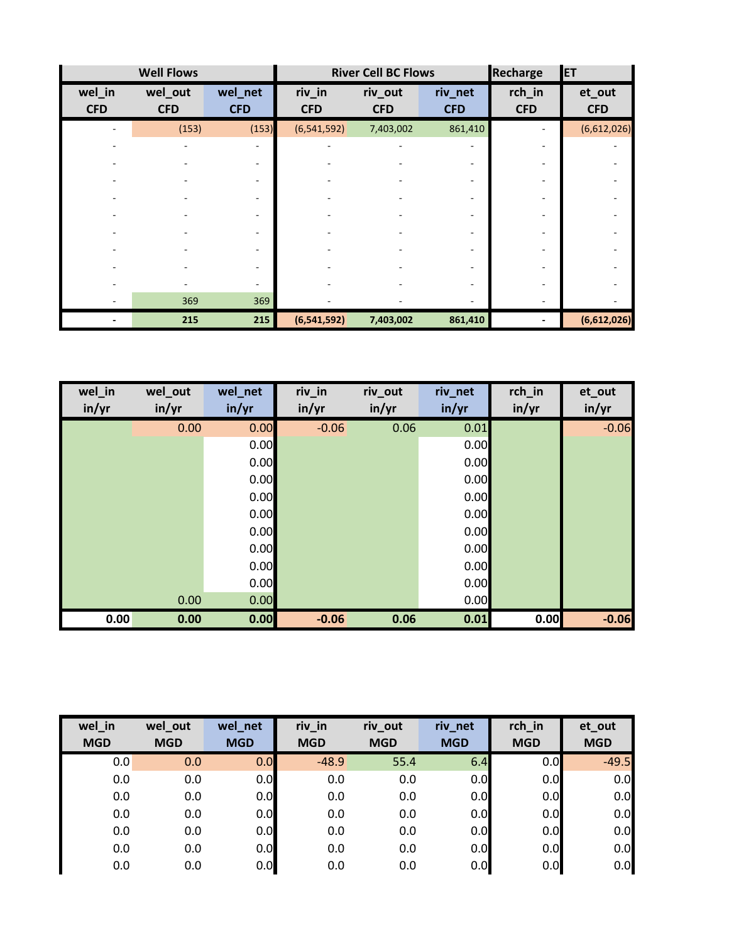|                      | <b>Well Flows</b>     |                       | <b>River Cell BC Flows</b> |                       |                       | Recharge             | <b>IET</b>           |
|----------------------|-----------------------|-----------------------|----------------------------|-----------------------|-----------------------|----------------------|----------------------|
| wel_in<br><b>CFD</b> | wel_out<br><b>CFD</b> | wel_net<br><b>CFD</b> | riv_in<br><b>CFD</b>       | riv_out<br><b>CFD</b> | riv_net<br><b>CFD</b> | rch_in<br><b>CFD</b> | et_out<br><b>CFD</b> |
|                      | (153)                 | (153)                 | (6, 541, 592)              | 7,403,002             | 861,410               |                      | (6,612,026)          |
|                      |                       |                       |                            |                       |                       |                      |                      |
|                      |                       |                       |                            |                       |                       |                      |                      |
|                      |                       |                       |                            |                       |                       |                      |                      |
|                      |                       |                       |                            |                       |                       |                      |                      |
|                      |                       |                       |                            |                       |                       |                      |                      |
|                      |                       |                       |                            |                       |                       |                      |                      |
|                      |                       |                       |                            |                       |                       |                      |                      |
|                      |                       |                       |                            |                       |                       |                      |                      |
|                      |                       |                       |                            |                       |                       |                      |                      |
|                      | 369                   | 369                   |                            |                       |                       |                      |                      |
|                      | 215                   | 215                   | (6,541,592)                | 7,403,002             | 861,410               |                      | (6,612,026)          |

| wel_in<br>in/yr | wel_out<br>in/yr | wel_net<br>in/yr | riv_in<br>in/yr | riv_out<br>in/yr | riv_net<br>in/yr | rch_in<br>in/yr | et_out<br>in/yr |
|-----------------|------------------|------------------|-----------------|------------------|------------------|-----------------|-----------------|
|                 | 0.00             | 0.00             | $-0.06$         | 0.06             | 0.01             |                 | $-0.06$         |
|                 |                  | 0.00             |                 |                  | 0.00             |                 |                 |
|                 |                  | 0.00             |                 |                  | 0.00             |                 |                 |
|                 |                  | 0.00             |                 |                  | 0.00             |                 |                 |
|                 |                  | 0.00             |                 |                  | 0.00             |                 |                 |
|                 |                  | 0.00             |                 |                  | 0.00             |                 |                 |
|                 |                  | 0.00             |                 |                  | 0.00             |                 |                 |
|                 |                  | 0.00             |                 |                  | 0.00             |                 |                 |
|                 |                  | 0.00             |                 |                  | 0.00             |                 |                 |
|                 |                  | 0.00             |                 |                  | 0.00             |                 |                 |
|                 | 0.00             | 0.00             |                 |                  | 0.00             |                 |                 |
| 0.00            | 0.00             | 0.00             | $-0.06$         | 0.06             | 0.01             | 0.00            | $-0.06$         |

| wel in     | wel_out    | wel_net    | riv_in     | riv_out    | riv_net    | rch_in     | et_out     |
|------------|------------|------------|------------|------------|------------|------------|------------|
| <b>MGD</b> | <b>MGD</b> | <b>MGD</b> | <b>MGD</b> | <b>MGD</b> | <b>MGD</b> | <b>MGD</b> | <b>MGD</b> |
| 0.0        | 0.0        | 0.0        | $-48.9$    | 55.4       | 6.4        | 0.0        | $-49.5$    |
| 0.0        | 0.0        | 0.0        | 0.0        | 0.0        | 0.0        | 0.0        | 0.0        |
| 0.0        | 0.0        | 0.0        | 0.0        | 0.0        | 0.0        | 0.0        | 0.0        |
| 0.0        | 0.0        | 0.0        | 0.0        | 0.0        | 0.0        | 0.0        | 0.0        |
| 0.0        | 0.0        | 0.0        | 0.0        | 0.0        | 0.0        | 0.0        | 0.0        |
| 0.0        | 0.0        | 0.0        | 0.0        | 0.0        | 0.0        | 0.0        | 0.0        |
| 0.0        | 0.0        | 0.0        | 0.0        | 0.0        | 0.0        | 0.0        | 0.0        |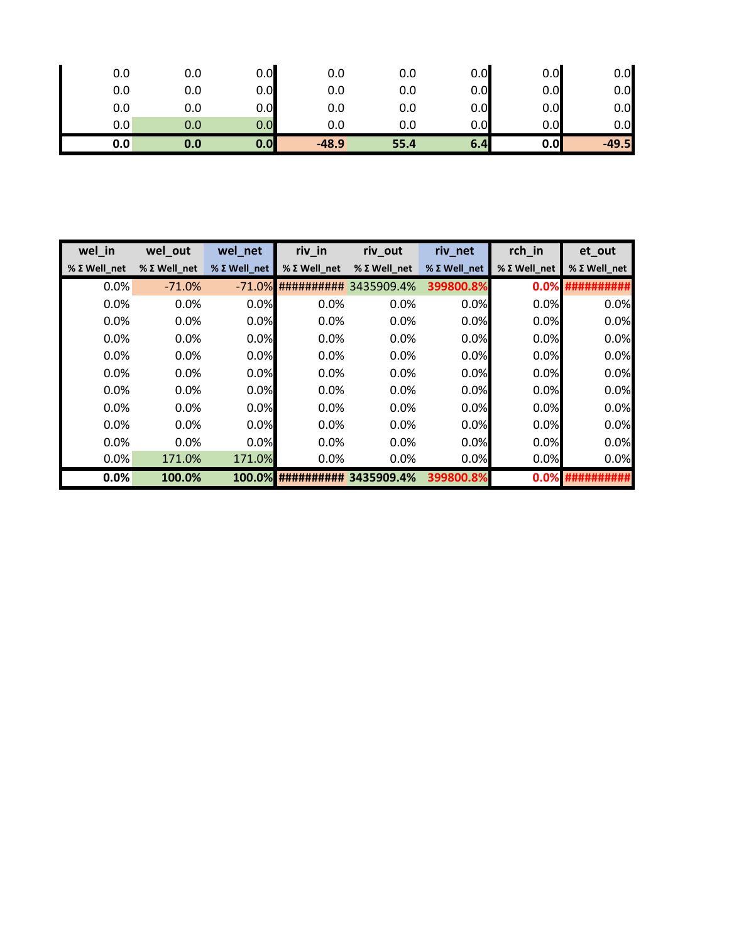| 0.0           | 0.0 | 0.0 | 0.0     | 0.0  | 0.0 | 0.0 | 0.0     |
|---------------|-----|-----|---------|------|-----|-----|---------|
| 0.0           | 0.0 | 0.0 | 0.0     | 0.0  | 0.0 | 0.0 | 0.0     |
| 0.0           | 0.0 | 0.0 | 0.0     | 0.0  | 0.0 | 0.0 | 0.0     |
| $0.0^{\circ}$ | 0.0 | 0.0 | 0.0     | 0.0  | 0.0 | 0.0 | 0.0     |
| 0.0           | 0.0 | 0.0 | $-48.9$ | 55.4 | 6.4 | 0.0 | $-49.5$ |

| wel in       | wel_out      | wel_net      | riv_in       | riv_out      | riv_net      | rch_in       | et_out       |
|--------------|--------------|--------------|--------------|--------------|--------------|--------------|--------------|
| % Σ Well net | % Σ Well net | % Σ Well net | % Σ Well net | % Σ Well net | % Σ Well net | % Σ Well net | % Σ Well net |
| 0.0%         | $-71.0%$     | $-71.0%$     | ##########   | 3435909.4%   | 399800.8%    | 0.0%         | ########     |
| 0.0%         | 0.0%         | 0.0%         | 0.0%         | 0.0%         | 0.0%         | 0.0%         | 0.0%         |
| 0.0%         | 0.0%         | 0.0%         | 0.0%         | 0.0%         | 0.0%         | 0.0%         | 0.0%         |
| 0.0%         | $0.0\%$      | 0.0%         | 0.0%         | $0.0\%$      | 0.0%         | 0.0%         | 0.0%         |
| 0.0%         | 0.0%         | 0.0%         | 0.0%         | 0.0%         | 0.0%         | 0.0%         | 0.0%         |
| 0.0%         | 0.0%         | 0.0%         | 0.0%         | 0.0%         | 0.0%         | 0.0%         | 0.0%         |
| 0.0%         | 0.0%         | 0.0%         | 0.0%         | 0.0%         | 0.0%         | 0.0%         | 0.0%         |
| 0.0%         | 0.0%         | 0.0%         | 0.0%         | 0.0%         | 0.0%         | 0.0%         | 0.0%         |
| 0.0%         | 0.0%         | 0.0%         | 0.0%         | 0.0%         | 0.0%         | 0.0%         | 0.0%         |
| 0.0%         | 0.0%         | 0.0%         | 0.0%         | 0.0%         | 0.0%         | 0.0%         | 0.0%         |
| 0.0%         | 171.0%       | 171.0%       | $0.0\%$      | 0.0%         | 0.0%         | 0.0%         | 0.0%         |
| 0.0%         | 100.0%       | 100.0%       | ##########   | 3435909.4%   | 399800.8%    | 0.0%         |              |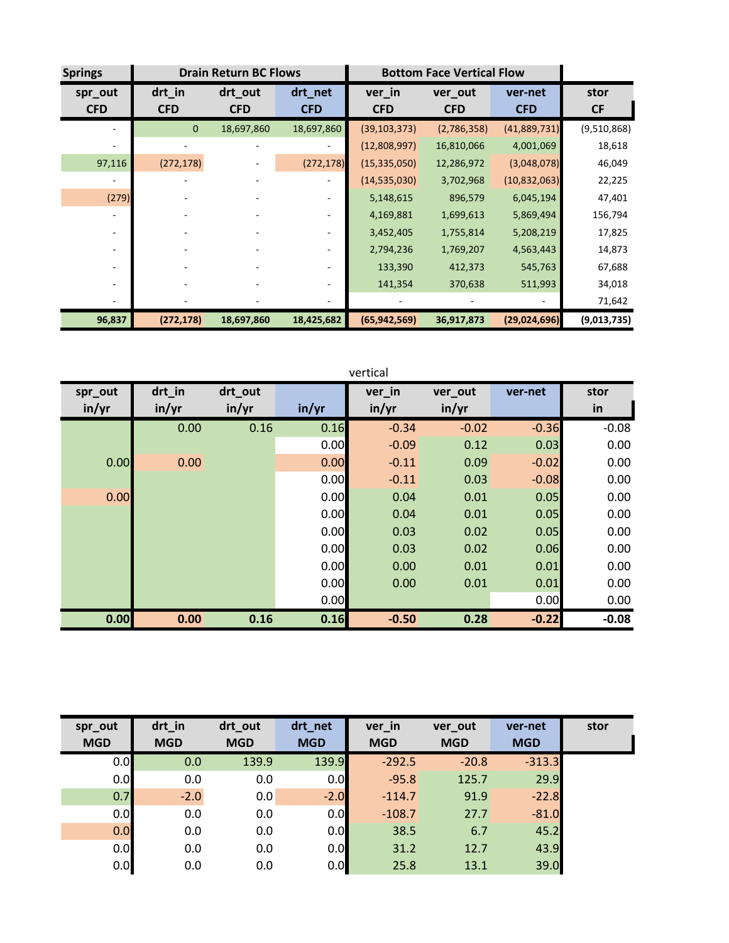| <b>Springs</b>        |                      | <b>Drain Return BC Flows</b> |                          | <b>Bottom Face Vertical Flow</b> |                       |                       |                   |
|-----------------------|----------------------|------------------------------|--------------------------|----------------------------------|-----------------------|-----------------------|-------------------|
| spr_out<br><b>CFD</b> | drt_in<br><b>CFD</b> | drt_out<br><b>CFD</b>        | drt_net<br><b>CFD</b>    | ver_in<br><b>CFD</b>             | ver_out<br><b>CFD</b> | ver-net<br><b>CFD</b> | stor<br><b>CF</b> |
|                       | $\mathbf{0}$         | 18,697,860                   | 18,697,860               | (39, 103, 373)                   | (2,786,358)           | (41,889,731)          | (9,510,868)       |
|                       |                      |                              |                          | (12,808,997)                     | 16,810,066            | 4,001,069             | 18,618            |
| 97,116                | (272, 178)           |                              | (272, 178)               | (15, 335, 050)                   | 12,286,972            | (3,048,078)           | 46,049            |
|                       |                      |                              |                          | (14, 535, 030)                   | 3,702,968             | (10, 832, 063)        | 22,225            |
| (279)                 |                      |                              |                          | 5,148,615                        | 896,579               | 6,045,194             | 47,401            |
|                       |                      |                              | $\sim$                   | 4,169,881                        | 1,699,613             | 5,869,494             | 156,794           |
|                       |                      |                              | $\overline{\phantom{a}}$ | 3,452,405                        | 1,755,814             | 5,208,219             | 17,825            |
|                       |                      |                              |                          | 2,794,236                        | 1,769,207             | 4,563,443             | 14,873            |
|                       |                      |                              |                          | 133,390                          | 412,373               | 545,763               | 67,688            |
|                       |                      |                              |                          | 141,354                          | 370,638               | 511,993               | 34,018            |
|                       |                      |                              |                          |                                  |                       |                       | 71,642            |
| 96,837                | (272, 178)           | 18,697,860                   | 18,425,682               | (65, 942, 569)                   | 36,917,873            | (29,024,696)          | (9,013,735)       |

|         |        |         |       | vertical |         |         |         |
|---------|--------|---------|-------|----------|---------|---------|---------|
| spr_out | drt_in | drt_out |       | ver_in   | ver_out | ver-net | stor    |
| in/yr   | in/yr  | in/yr   | in/yr | in/yr    | in/yr   |         | in      |
|         | 0.00   | 0.16    | 0.16  | $-0.34$  | $-0.02$ | $-0.36$ | $-0.08$ |
|         |        |         | 0.00  | $-0.09$  | 0.12    | 0.03    | 0.00    |
| 0.00    | 0.00   |         | 0.00  | $-0.11$  | 0.09    | $-0.02$ | 0.00    |
|         |        |         | 0.00  | $-0.11$  | 0.03    | $-0.08$ | 0.00    |
| 0.00    |        |         | 0.00  | 0.04     | 0.01    | 0.05    | 0.00    |
|         |        |         | 0.00  | 0.04     | 0.01    | 0.05    | 0.00    |
|         |        |         | 0.00  | 0.03     | 0.02    | 0.05    | 0.00    |
|         |        |         | 0.00  | 0.03     | 0.02    | 0.06    | 0.00    |
|         |        |         | 0.00  | 0.00     | 0.01    | 0.01    | 0.00    |
|         |        |         | 0.00  | 0.00     | 0.01    | 0.01    | 0.00    |
|         |        |         | 0.00  |          |         | 0.00    | 0.00    |
| 0.00    | 0.00   | 0.16    | 0.16  | $-0.50$  | 0.28    | $-0.22$ | $-0.08$ |

| spr_out    | drt_in     | drt_out    | drt_net    | ver_in     | ver_out    | ver-net    | stor |
|------------|------------|------------|------------|------------|------------|------------|------|
| <b>MGD</b> | <b>MGD</b> | <b>MGD</b> | <b>MGD</b> | <b>MGD</b> | <b>MGD</b> | <b>MGD</b> |      |
| 0.0        | 0.0        | 139.9      | 139.9      | $-292.5$   | $-20.8$    | $-313.3$   |      |
| 0.0        | 0.0        | 0.0        | 0.0        | $-95.8$    | 125.7      | 29.9       |      |
| 0.7        | $-2.0$     | 0.0        | $-2.0$     | $-114.7$   | 91.9       | $-22.8$    |      |
| 0.0        | 0.0        | 0.0        | 0.0        | $-108.7$   | 27.7       | $-81.0$    |      |
| 0.0        | 0.0        | 0.0        | 0.0        | 38.5       | 6.7        | 45.2       |      |
| 0.0        | 0.0        | 0.0        | 0.0        | 31.2       | 12.7       | 43.9       |      |
| 0.0        | 0.0        | 0.0        | 0.0        | 25.8       | 13.1       | 39.0       |      |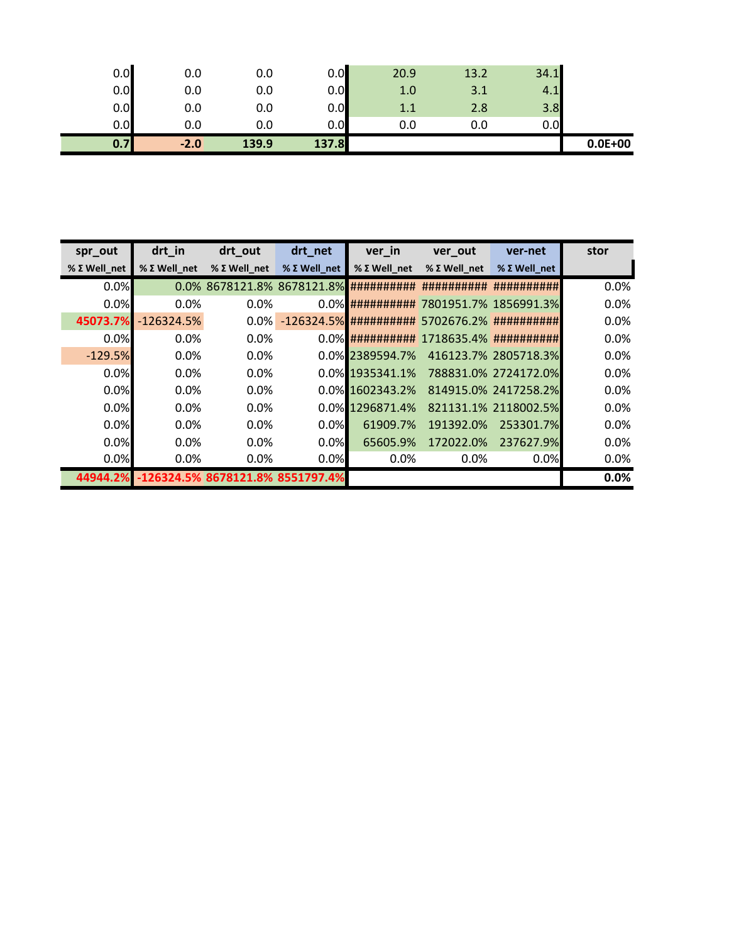| 0.0<br>0.0 | 0.0<br>0.0 | 0.0<br>0.0 | 0.0<br>0.0 | 1.0<br>1.1 | 3.1<br>2.8 | 4.1<br>3.8 |             |
|------------|------------|------------|------------|------------|------------|------------|-------------|
| 0.0        | 0.0        | 0.0        | 0.0        | 0.0        | 0.0        | 0.0        |             |
| 0.7        | $-2.0$     | 139.9      | 137.8      |            |            |            | $0.0E + 00$ |

| spr_out      | drt_in       | drt_out                                | drt_net      | ver_in                | ver_out                                         | ver-net              | stor |
|--------------|--------------|----------------------------------------|--------------|-----------------------|-------------------------------------------------|----------------------|------|
| % Σ Well net | % Σ Well net | % Σ Well net                           | % Σ Well net | $%$ $\Sigma$ Well net | % Σ Well net                                    | % Σ Well net         |      |
| 0.0%         |              | 0.0% 8678121.8% 8678121.8% ########### |              |                       | ##########                                      | ##########           | 0.0% |
| 0.0%         | 0.0%         | 0.0%                                   |              |                       | 0.0% ########### 7801951.7% 1856991.3%          |                      | 0.0% |
| 45073.7%     | $-126324.5%$ | $0.0\%$                                |              |                       | $-126324.5\%$ ########## 5702676.2% ########### |                      | 0.0% |
| 0.0%         | 0.0%         | $0.0\%$                                |              |                       | 0.0% ########### 1718635.4% ###########         |                      | 0.0% |
| $-129.5%$    | $0.0\%$      | 0.0%                                   |              | 0.0% 2389594.7%       |                                                 | 416123.7% 2805718.3% | 0.0% |
| 0.0%         | 0.0%         | 0.0%                                   |              | 0.0% 1935341.1%       |                                                 | 788831.0% 2724172.0% | 0.0% |
| 0.0%         | $0.0\%$      | $0.0\%$                                |              | 0.0% 1602343.2%       |                                                 | 814915.0% 2417258.2% | 0.0% |
| 0.0%         | $0.0\%$      | 0.0%                                   |              | 0.0% 1296871.4%       |                                                 | 821131.1% 2118002.5% | 0.0% |
| 0.0%         | 0.0%         | 0.0%                                   | $0.0\%$      | 61909.7%              | 191392.0%                                       | 253301.7%            | 0.0% |
| 0.0%         | 0.0%         | 0.0%                                   | 0.0%         | 65605.9%              | 172022.0%                                       | 237627.9%            | 0.0% |
| 0.0%         | 0.0%         | 0.0%                                   | 0.0%         | 0.0%                  | $0.0\%$                                         | 0.0%                 | 0.0% |
| 44944.2%     |              | -126324.5% 8678121.8% 8551797.4%       |              |                       |                                                 |                      | 0.0% |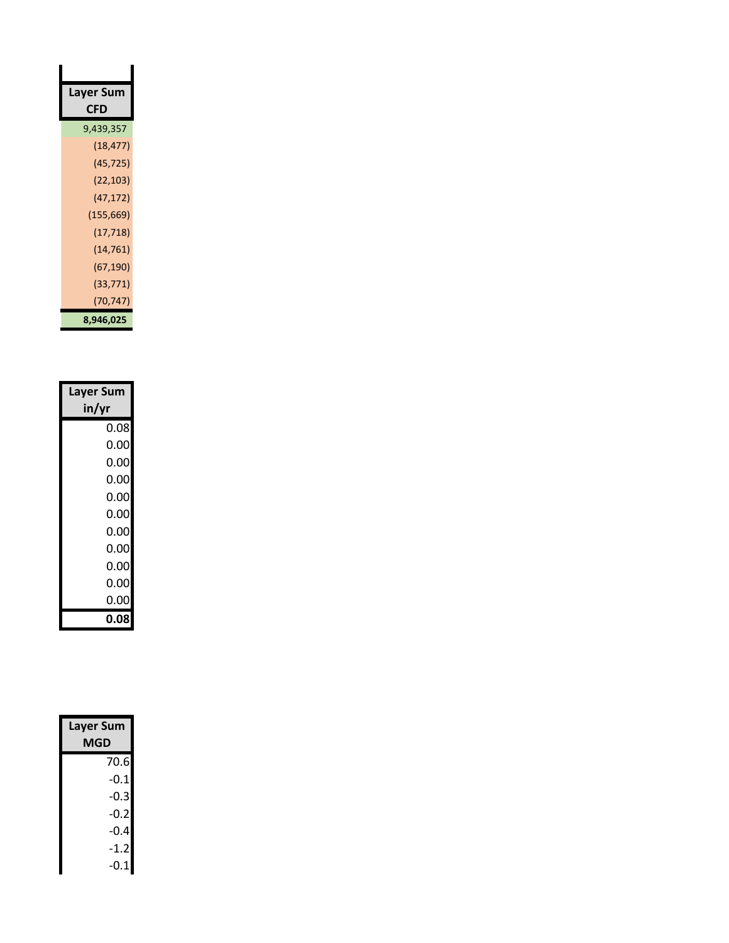| Layer Sum  |
|------------|
| CFD        |
| 9,439,357  |
| (18, 477)  |
| (45, 725)  |
| (22, 103)  |
| (47,172)   |
| (155, 669) |
| (17, 718)  |
| (14,761)   |
| (67, 190)  |
| (33, 771)  |
| (70,747)   |
| 8,946,025  |

| <b>Layer Sum</b> |
|------------------|
| in/yr            |
| 0.08             |
| 0.00             |
| 0.00             |
| 0.00             |
| 0.00             |
| 0.00             |
| 0.00             |
| 0.00             |
| 0.00             |
| 0.00             |
| 0.00             |
| 0.08             |

| <b>Layer Sum</b><br>MGD |        |  |  |
|-------------------------|--------|--|--|
|                         | 70.6   |  |  |
|                         | $-0.1$ |  |  |
|                         | -0.3   |  |  |
|                         | -0.2   |  |  |
|                         | -0.4   |  |  |
|                         | $-1.2$ |  |  |
|                         | -0.1   |  |  |